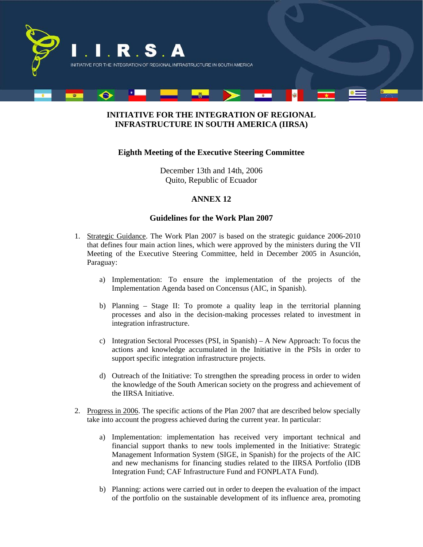

## **INITIATIVE FOR THE INTEGRATION OF REGIONAL INFRASTRUCTURE IN SOUTH AMERICA (IIRSA)**

### **Eighth Meeting of the Executive Steering Committee**

December 13th and 14th, 2006 Quito, Republic of Ecuador

### **ANNEX 12**

#### **Guidelines for the Work Plan 2007**

- 1. Strategic Guidance. The Work Plan 2007 is based on the strategic guidance 2006-2010 that defines four main action lines, which were approved by the ministers during the VII Meeting of the Executive Steering Committee, held in December 2005 in Asunción, Paraguay:
	- a) Implementation: To ensure the implementation of the projects of the Implementation Agenda based on Concensus (AIC, in Spanish).
	- b) Planning Stage II: To promote a quality leap in the territorial planning processes and also in the decision-making processes related to investment in integration infrastructure.
	- c) Integration Sectoral Processes (PSI, in Spanish) A New Approach: To focus the actions and knowledge accumulated in the Initiative in the PSIs in order to support specific integration infrastructure projects.
	- d) Outreach of the Initiative: To strengthen the spreading process in order to widen the knowledge of the South American society on the progress and achievement of the IIRSA Initiative.
- 2. Progress in 2006. The specific actions of the Plan 2007 that are described below specially take into account the progress achieved during the current year. In particular:
	- a) Implementation: implementation has received very important technical and financial support thanks to new tools implemented in the Initiative: Strategic Management Information System (SIGE, in Spanish) for the projects of the AIC and new mechanisms for financing studies related to the IIRSA Portfolio (IDB Integration Fund; CAF Infrastructure Fund and FONPLATA Fund).
	- b) Planning: actions were carried out in order to deepen the evaluation of the impact of the portfolio on the sustainable development of its influence area, promoting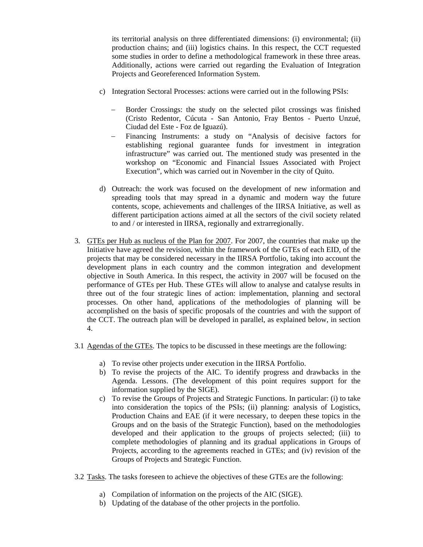its territorial analysis on three differentiated dimensions: (i) environmental; (ii) production chains; and (iii) logistics chains. In this respect, the CCT requested some studies in order to define a methodological framework in these three areas. Additionally, actions were carried out regarding the Evaluation of Integration Projects and Georeferenced Information System.

- c) Integration Sectoral Processes: actions were carried out in the following PSIs:
	- Border Crossings: the study on the selected pilot crossings was finished (Cristo Redentor, Cúcuta - San Antonio, Fray Bentos - Puerto Unzué, Ciudad del Este - Foz de Iguazú).
	- − Financing Instruments: a study on "Analysis of decisive factors for establishing regional guarantee funds for investment in integration infrastructure" was carried out. The mentioned study was presented in the workshop on "Economic and Financial Issues Associated with Project Execution", which was carried out in November in the city of Quito.
- d) Outreach: the work was focused on the development of new information and spreading tools that may spread in a dynamic and modern way the future contents, scope, achievements and challenges of the IIRSA Initiative, as well as different participation actions aimed at all the sectors of the civil society related to and / or interested in IIRSA, regionally and extrarregionally.
- 3. GTEs per Hub as nucleus of the Plan for 2007. For 2007, the countries that make up the Initiative have agreed the revision, within the framework of the GTEs of each EID, of the projects that may be considered necessary in the IIRSA Portfolio, taking into account the development plans in each country and the common integration and development objective in South America. In this respect, the activity in 2007 will be focused on the performance of GTEs per Hub. These GTEs will allow to analyse and catalyse results in three out of the four strategic lines of action: implementation, planning and sectoral processes. On other hand, applications of the methodologies of planning will be accomplished on the basis of specific proposals of the countries and with the support of the CCT. The outreach plan will be developed in parallel, as explained below, in section 4.
- 3.1 Agendas of the GTEs. The topics to be discussed in these meetings are the following:
	- a) To revise other projects under execution in the IIRSA Portfolio.
	- b) To revise the projects of the AIC. To identify progress and drawbacks in the Agenda. Lessons. (The development of this point requires support for the information supplied by the SIGE).
	- c) To revise the Groups of Projects and Strategic Functions. In particular: (i) to take into consideration the topics of the PSIs; (ii) planning: analysis of Logistics, Production Chains and EAE (if it were necessary, to deepen these topics in the Groups and on the basis of the Strategic Function), based on the methodologies developed and their application to the groups of projects selected; (iii) to complete methodologies of planning and its gradual applications in Groups of Projects, according to the agreements reached in GTEs; and (iv) revision of the Groups of Projects and Strategic Function.
- 3.2 Tasks. The tasks foreseen to achieve the objectives of these GTEs are the following:
	- a) Compilation of information on the projects of the AIC (SIGE).
	- b) Updating of the database of the other projects in the portfolio.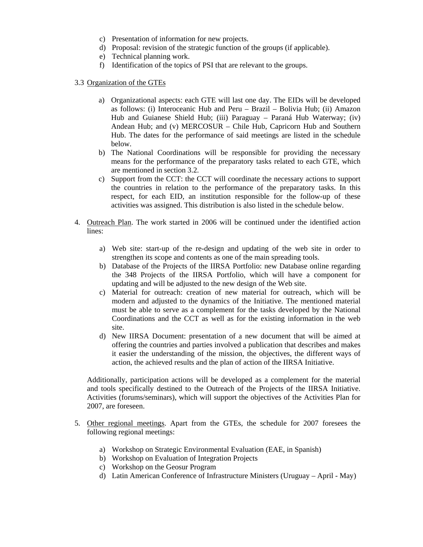- c) Presentation of information for new projects.
- d) Proposal: revision of the strategic function of the groups (if applicable).
- e) Technical planning work.
- f) Identification of the topics of PSI that are relevant to the groups.
- 3.3 Organization of the GTEs
	- a) Organizational aspects: each GTE will last one day. The EIDs will be developed as follows: (i) Interoceanic Hub and Peru – Brazil – Bolivia Hub; (ii) Amazon Hub and Guianese Shield Hub; (iii) Paraguay – Paraná Hub Waterway; (iv) Andean Hub; and (v) MERCOSUR – Chile Hub, Capricorn Hub and Southern Hub. The dates for the performance of said meetings are listed in the schedule below.
	- b) The National Coordinations will be responsible for providing the necessary means for the performance of the preparatory tasks related to each GTE, which are mentioned in section 3.2.
	- c) Support from the CCT: the CCT will coordinate the necessary actions to support the countries in relation to the performance of the preparatory tasks. In this respect, for each EID, an institution responsible for the follow-up of these activities was assigned. This distribution is also listed in the schedule below.
- 4. Outreach Plan. The work started in 2006 will be continued under the identified action lines:
	- a) Web site: start-up of the re-design and updating of the web site in order to strengthen its scope and contents as one of the main spreading tools.
	- b) Database of the Projects of the IIRSA Portfolio: new Database online regarding the 348 Projects of the IIRSA Portfolio, which will have a component for updating and will be adjusted to the new design of the Web site.
	- c) Material for outreach: creation of new material for outreach, which will be modern and adjusted to the dynamics of the Initiative. The mentioned material must be able to serve as a complement for the tasks developed by the National Coordinations and the CCT as well as for the existing information in the web site.
	- d) New IIRSA Document: presentation of a new document that will be aimed at offering the countries and parties involved a publication that describes and makes it easier the understanding of the mission, the objectives, the different ways of action, the achieved results and the plan of action of the IIRSA Initiative.

Additionally, participation actions will be developed as a complement for the material and tools specifically destined to the Outreach of the Projects of the IIRSA Initiative. Activities (forums/seminars), which will support the objectives of the Activities Plan for 2007, are foreseen.

- 5. Other regional meetings. Apart from the GTEs, the schedule for 2007 foresees the following regional meetings:
	- a) Workshop on Strategic Environmental Evaluation (EAE, in Spanish)
	- b) Workshop on Evaluation of Integration Projects
	- c) Workshop on the Geosur Program
	- d) Latin American Conference of Infrastructure Ministers (Uruguay April May)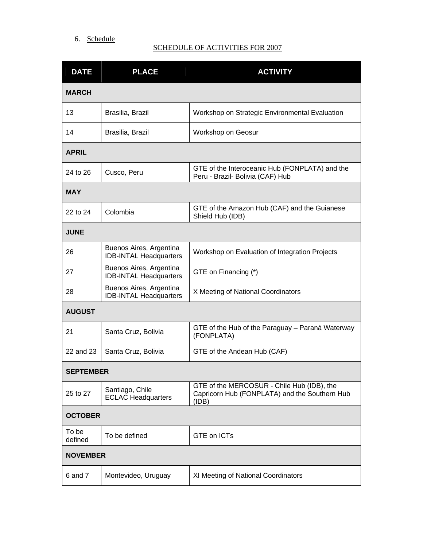## 6. Schedule

# SCHEDULE OF ACTIVITIES FOR 2007

| <b>DATE</b>      | <b>PLACE</b>                                             | <b>ACTIVITY</b>                                                                                      |  |
|------------------|----------------------------------------------------------|------------------------------------------------------------------------------------------------------|--|
| <b>MARCH</b>     |                                                          |                                                                                                      |  |
| 13               | Brasilia, Brazil                                         | Workshop on Strategic Environmental Evaluation                                                       |  |
| 14               | Brasilia, Brazil                                         | Workshop on Geosur                                                                                   |  |
| <b>APRIL</b>     |                                                          |                                                                                                      |  |
| 24 to 26         | Cusco, Peru                                              | GTE of the Interoceanic Hub (FONPLATA) and the<br>Peru - Brazil- Bolivia (CAF) Hub                   |  |
| <b>MAY</b>       |                                                          |                                                                                                      |  |
| 22 to 24         | Colombia                                                 | GTE of the Amazon Hub (CAF) and the Guianese<br>Shield Hub (IDB)                                     |  |
| <b>JUNE</b>      |                                                          |                                                                                                      |  |
| 26               | Buenos Aires, Argentina<br><b>IDB-INTAL Headquarters</b> | Workshop on Evaluation of Integration Projects                                                       |  |
| 27               | Buenos Aires, Argentina<br><b>IDB-INTAL Headquarters</b> | GTE on Financing (*)                                                                                 |  |
| 28               | Buenos Aires, Argentina<br><b>IDB-INTAL Headquarters</b> | X Meeting of National Coordinators                                                                   |  |
| <b>AUGUST</b>    |                                                          |                                                                                                      |  |
| 21               | Santa Cruz, Bolivia                                      | GTE of the Hub of the Paraguay - Paraná Waterway<br>(FONPLATA)                                       |  |
| 22 and 23        | Santa Cruz, Bolivia                                      | GTE of the Andean Hub (CAF)                                                                          |  |
| <b>SEPTEMBER</b> |                                                          |                                                                                                      |  |
| 25 to 27         | Santiago, Chile<br><b>ECLAC Headquarters</b>             | GTE of the MERCOSUR - Chile Hub (IDB), the<br>Capricorn Hub (FONPLATA) and the Southern Hub<br>(IDB) |  |
| <b>OCTOBER</b>   |                                                          |                                                                                                      |  |
| To be<br>defined | To be defined                                            | <b>GTE on ICTs</b>                                                                                   |  |
| <b>NOVEMBER</b>  |                                                          |                                                                                                      |  |
| 6 and 7          | Montevideo, Uruguay                                      | XI Meeting of National Coordinators                                                                  |  |